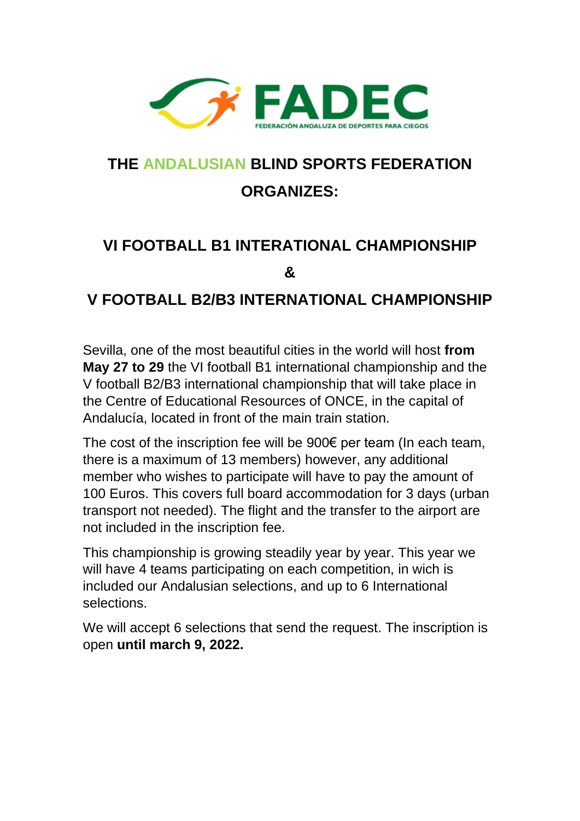

## **THE ANDALUSIAN BLIND SPORTS FEDERATION ORGANIZES:**

## **VI FOOTBALL B1 INTERATIONAL CHAMPIONSHIP &**

## **V FOOTBALL B2/B3 INTERNATIONAL CHAMPIONSHIP**

Sevilla, one of the most beautiful cities in the world will host **from May 27 to 29** the VI football B1 international championship and the V football B2/B3 international championship that will take place in the Centre of Educational Resources of ONCE, in the capital of Andalucía, located in front of the main train station.

The cost of the inscription fee will be 900€ per team (In each team, there is a maximum of 13 members) however, any additional member who wishes to participate will have to pay the amount of 100 Euros. This covers full board accommodation for 3 days (urban transport not needed). The flight and the transfer to the airport are not included in the inscription fee.

This championship is growing steadily year by year. This year we will have 4 teams participating on each competition, in wich is included our Andalusian selections, and up to 6 International selections.

We will accept 6 selections that send the request. The inscription is open **until march 9, 2022.**